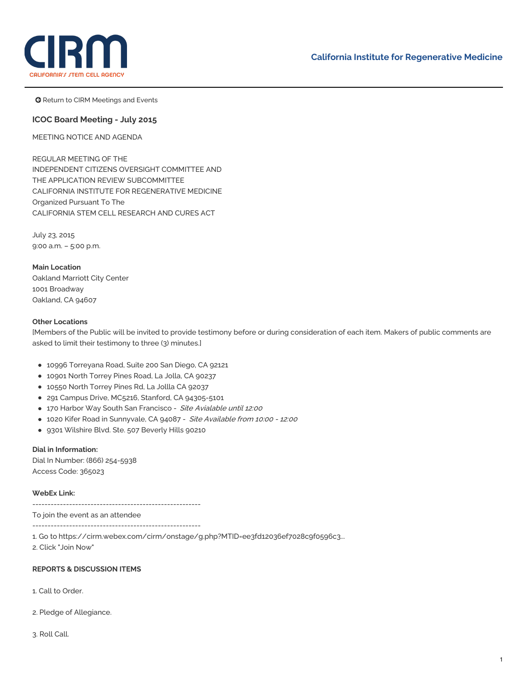

**G** Return to CIRM Meetings and Events

# **ICOC Board Meeting - July 2015**

MEETING NOTICE AND AGENDA

REGULAR MEETING OF THE INDEPENDENT CITIZENS OVERSIGHT COMMITTEE AND THE APPLICATION REVIEW SUBCOMMITTEE CALIFORNIA INSTITUTE FOR REGENERATIVE MEDICINE Organized Pursuant To The CALIFORNIA STEM CELL RESEARCH AND CURES ACT

July 23, 2015 9:00 a.m. – 5:00 p.m.

**Main Location** Oakland Marriott City Center 1001 Broadway Oakland, CA 94607

### **Other Locations**

[Members of the Public will be invited to provide testimony before or during consideration of each item. Makers of public comments are asked to limit their testimony to three (3) minutes.]

- 10996 Torreyana Road, Suite 200 San Diego, CA 92121
- 10901 North Torrey Pines Road, La Jolla, CA 90237
- 10550 North Torrey Pines Rd, La Jollla CA 92037
- 291 Campus Drive, MC5216, Stanford, CA 94305-5101
- 170 Harbor Way South San Francisco Site Avialable until 12:00
- 1020 Kifer Road in Sunnyvale, CA 94087 Site Available from 10:00 12:00
- 9301 Wilshire Blvd. Ste. 507 Beverly Hills 90210

#### **Dial in Information:**

Dial In Number: (866) 254-5938 Access Code: 365023

### **WebEx Link:**

-------------------------------------------------------

To join the event as an attendee

-------------------------------------------------------

1. Go to [https://cirm.webex.com/cirm/onstage/g.php?MTID=ee3fd12036ef7028c9f0596c3...](https://cirm.webex.com/cirm/onstage/g.php?MTID=ee3fd12036ef7028c9f0596c3b0c55dce)

2. Click "Join Now"

#### **REPORTS & DISCUSSION ITEMS**

1. Call to Order.

2. Pledge of Allegiance.

3. Roll Call.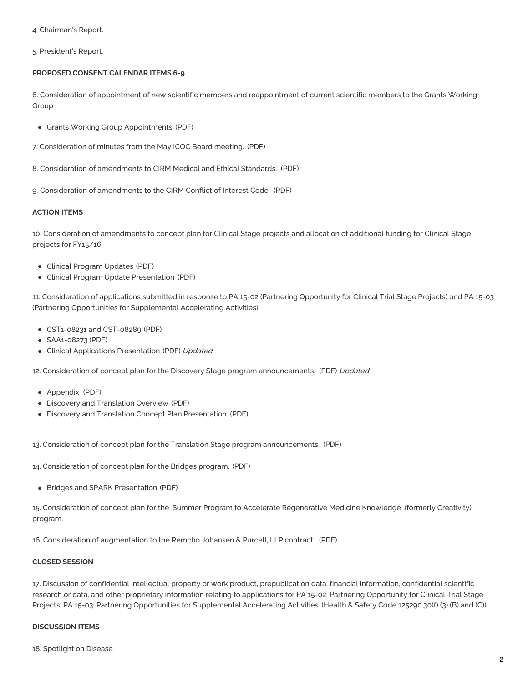4. Chairman's Report.

5. President's Report.

## **PROPOSED CONSENT CALENDAR ITEMS 6-9**

6. Consideration of appointment of new scientific members and reappointment of current scientific members to the Grants Working Group.

- Grants Working Group [Appointments](https://www.cirm.ca.gov/sites/default/files/files/agenda/150723_Agenda_6_GWG%20Appointments.pdf) (PDF)
- 7. [Consideration](https://www.cirm.ca.gov/sites/default/files/files/agenda/150732_Agenda_7_ICOC%20Meeting%20Minutes%20-%20Draft%20May.pdf) of minutes from the May ICOC Board meeting. (PDF)
- 8. [Consideration](https://www.cirm.ca.gov/sites/default/files/files/agenda/150723_Agenda_8_Medical%20and%20Ethical%20Standards%20Amendments.pdf) of amendments to CIRM Medical and Ethical Standards. (PDF)
- 9. [Consideration](https://www.cirm.ca.gov/sites/default/files/files/agenda/150723_Agenda_9_COI_Amendment.pdf) of amendments to the CIRM Conflict of Interest Code. (PDF)

# **ACTION ITEMS**

10. Consideration of amendments to concept plan for Clinical Stage projects and allocation of additional funding for Clinical Stage projects for FY15/16.

- Clinical [Program](https://www.cirm.ca.gov/sites/default/files/files/agenda/150723_Agenda_10%20ClinicalProgramUpdates.pdf) Updates (PDF)
- Clinical Program Update [Presentation](https://www.cirm.ca.gov/sites/default/files/files/agenda/150723_Agenda_10_Clinical%20Program%20Updates%20Presentation%20.pdf) (PDF)

11. Consideration of applications submitted in response to PA 15-02 (Partnering Opportunity for Clinical Trial Stage Projects) and PA 15-03 (Partnering Opportunities for Supplemental Accelerating Activities).

- [CST1-08231](https://www.cirm.ca.gov/sites/default/files/files/agenda/150723_Agenda_11%20PA%201502%20Public%20Summaries.pdf) and CST-08289 (PDF)
- [SAA1-08273](https://www.cirm.ca.gov/sites/default/files/files/agenda/150723_Agenda_11%20PA%201503%20Public%20Summaries.pdf) (PDF)
- Clinical Applications [Presentation](https://www.cirm.ca.gov/sites/default/files/files/agenda/150723_Agenda_11%20Clinical%20Applications%20Presentation.pdf) (PDF) Updated

12. Consideration of concept plan for the Discovery Stage program [announcements.](https://www.cirm.ca.gov/sites/default/files/files/agenda/150723_Agenda_12%20Discovery%20Concept_0.pdf) (PDF) Updated

- [Appendix](https://www.cirm.ca.gov/sites/default/files/files/agenda/150723_Agenda_12%20Appendix%20Phased%20Review%20.pdf) (PDF)
- Discovery and [Translation](https://www.cirm.ca.gov/sites/default/files/files/agenda/150723_Agenda_12-13%20Discovery%20and%20Translation%20Overview-Presenation.pdf) Overview (PDF)
- Discovery and Translation Concept Plan [Presentation](https://www.cirm.ca.gov/sites/default/files/files/agenda/150723_Agenda_12-13%20Discovery%20and%20Translation%20Concept%20Plan%20Presentation.pdf) (PDF)

13. Consideration of concept plan for the Translation Stage program [announcements.](https://www.cirm.ca.gov/sites/default/files/files/agenda/150723_Agenda_13%20Translation%20Concept.pdf) (PDF)

14. [Consideration](https://www.cirm.ca.gov/sites/default/files/files/agenda/150723_Agenda_14%20Bridges%202.0%20Concept%20.pdf) of concept plan for the Bridges program. (PDF)

Bridges and SPARK [Presentation](https://www.cirm.ca.gov/sites/default/files/files/agenda/150723_Agenda_14-15%20Bridges%20and%20SPARK%20Concept%20Plan%20presentations%255B2%255D.pdf) (PDF)

15. Consideration of concept plan for the Summer Program to Accelerate [Regenerative](https://www.cirm.ca.gov/sites/default/files/files/agenda/150723_Agenda_15%20SPARK%20Concept.pdf) Medicine Knowledge (formerly Creativity) program.

16. Consideration of [augmentation](https://www.cirm.ca.gov/sites/default/files/files/agenda/150723_Agenda_16_RJP_Contract.pdf) to the Remcho Johansen & Purcell, LLP contract. (PDF)

## **CLOSED SESSION**

17. Discussion of confidential intellectual property or work product, prepublication data, financial information, confidential scientific research or data, and other proprietary information relating to applications for PA 15-02: Partnering Opportunity for Clinical Trial Stage Projects; PA 15-03: Partnering Opportunities for Supplemental Accelerating Activities. (Health & Safety Code 125290.30(f) (3) (B) and (C)).

## **DISCUSSION ITEMS**